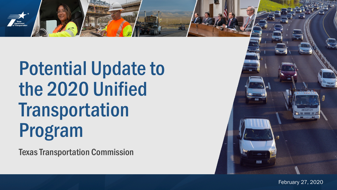

Texas Transportation Commission



2020 Unified Transportation Program February 27, 2020 February 27, 2020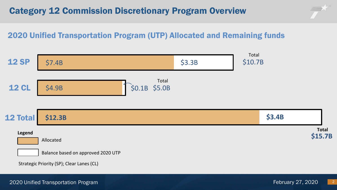# Category 12 Commission Discretionary Program Overview



## 2020 Unified Transportation Program (UTP) Allocated and Remaining funds



2020 Unified Transportation Program February 27, 2020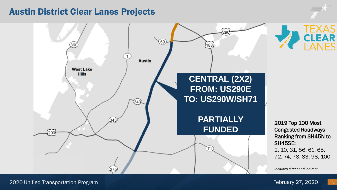### Austin District Clear Lanes Projects

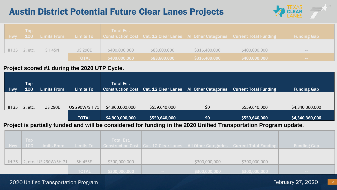# Austin District Potential Future Clear Lanes Projects



| <b>Hwy</b> | <b>Top</b>       | 100 Limits From |                | Total Est.    |              |               | Limits To    Construction Cost   Cat. 12 Clear Lanes   All Other Categories   Current Total Funding | <b>Funding Gap</b>                                                                                                                                                                                                                                                                                                                                                                                                                                                         |
|------------|------------------|-----------------|----------------|---------------|--------------|---------------|-----------------------------------------------------------------------------------------------------|----------------------------------------------------------------------------------------------------------------------------------------------------------------------------------------------------------------------------------------------------------------------------------------------------------------------------------------------------------------------------------------------------------------------------------------------------------------------------|
|            | $ H 35 $ 2, etc. | <b>SH 45N</b>   | <b>US 290E</b> | \$400,000,000 | \$83,600,000 | \$316,400,000 | \$400,000,000                                                                                       | $\frac{1}{2} \left( \frac{1}{2} \right) \left( \frac{1}{2} \right) \left( \frac{1}{2} \right) \left( \frac{1}{2} \right) \left( \frac{1}{2} \right) \left( \frac{1}{2} \right) \left( \frac{1}{2} \right) \left( \frac{1}{2} \right) \left( \frac{1}{2} \right) \left( \frac{1}{2} \right) \left( \frac{1}{2} \right) \left( \frac{1}{2} \right) \left( \frac{1}{2} \right) \left( \frac{1}{2} \right) \left( \frac{1}{2} \right) \left( \frac{1}{2} \right) \left( \frac$ |
|            |                  |                 | <b>TOTAL</b>   | \$400,000,000 | \$83,600,000 | \$316,400,000 | \$400,000,000                                                                                       | <b>Common</b>                                                                                                                                                                                                                                                                                                                                                                                                                                                              |

#### **Project scored #1 during the 2020 UTP Cycle.**

| Hwy          | <b>Top</b><br>100 | <b>Limits From</b> | Limits To     | Total Est.<br><b>Construction Cost</b> | Cat. 12 Clear Lanes | <b>All Other Categories</b> | <b>Current Total Funding</b> | <b>Funding Gap</b> |
|--------------|-------------------|--------------------|---------------|----------------------------------------|---------------------|-----------------------------|------------------------------|--------------------|
|              |                   |                    |               |                                        |                     |                             |                              |                    |
| <b>IH 35</b> | 2, etc.           | <b>US 290E</b>     | US 290W/SH 71 | \$4,900,000,000                        | \$559,640,000       | \$0                         | \$559,640,000                | \$4,340,360,000    |
|              |                   |                    | <b>TOTAL</b>  | \$4,900,000,000                        | \$559,640,000       | \$0                         | \$559,640,000                | \$4,340,360,000    |

#### **Project is partially funded and will be considered for funding in the 2020 Unified Transportation Program update.**

| <b>Top</b> |                             |              | <b>Total Est.</b> |                          |               |                                                                                            |                                                                                                                                                                                                                                                                                                                                                                                                                                                                            |
|------------|-----------------------------|--------------|-------------------|--------------------------|---------------|--------------------------------------------------------------------------------------------|----------------------------------------------------------------------------------------------------------------------------------------------------------------------------------------------------------------------------------------------------------------------------------------------------------------------------------------------------------------------------------------------------------------------------------------------------------------------------|
|            | Hwy 100 Limits From         |              |                   |                          |               | Limits To Construction Cost Cat. 12 Clear Lanes All Other Categories Current Total Funding | <b>Funding Gap</b>                                                                                                                                                                                                                                                                                                                                                                                                                                                         |
|            |                             |              |                   |                          |               |                                                                                            |                                                                                                                                                                                                                                                                                                                                                                                                                                                                            |
|            | IH 35 2, etc. US 290W/SH 71 | SH 45SE      | \$300,000,000     | $\qquad \qquad -$        | \$300,000,000 | \$300,000,000                                                                              | $\frac{1}{2} \left( \frac{1}{2} \right) \left( \frac{1}{2} \right) \left( \frac{1}{2} \right) \left( \frac{1}{2} \right) \left( \frac{1}{2} \right) \left( \frac{1}{2} \right) \left( \frac{1}{2} \right) \left( \frac{1}{2} \right) \left( \frac{1}{2} \right) \left( \frac{1}{2} \right) \left( \frac{1}{2} \right) \left( \frac{1}{2} \right) \left( \frac{1}{2} \right) \left( \frac{1}{2} \right) \left( \frac{1}{2} \right) \left( \frac{1}{2} \right) \left( \frac$ |
|            |                             | <b>TOTAL</b> | \$300,000,000     | <b>State State State</b> | \$300,000,000 | \$300,000,000                                                                              | <b>State State</b>                                                                                                                                                                                                                                                                                                                                                                                                                                                         |

#### 2020 Unified Transportation Program February 27, 2020

4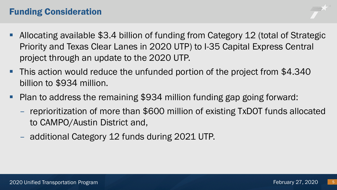# Funding Consideration

- Allocating available \$3.4 billion of funding from Category 12 (total of Strategic Priority and Texas Clear Lanes in 2020 UTP) to I-35 Capital Express Central project through an update to the 2020 UTP.
- This action would reduce the unfunded portion of the project from \$4.340 billion to \$934 million.
- Plan to address the remaining \$934 million funding gap going forward:
	- reprioritization of more than \$600 million of existing TxDOT funds allocated to CAMPO/Austin District and,
	- additional Category 12 funds during 2021 UTP.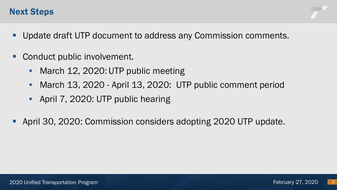## Next Steps

- Update draft UTP document to address any Commission comments.
- Conduct public involvement.
	- March 12, 2020: UTP public meeting
	- March 13, 2020 April 13, 2020: UTP public comment period
	- April 7, 2020: UTP public hearing
- April 30, 2020: Commission considers adopting 2020 UTP update.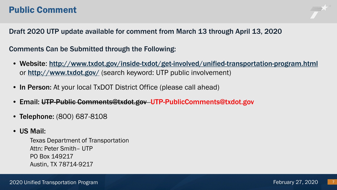## Public Comment



Draft 2020 UTP update available for comment from March 13 through April 13, 2020

Comments Can be Submitted through the Following:

- Website: <http://www.txdot.gov/inside-txdot/get-involved/unified-transportation-program.html> or <http://www.txdot.gov/> (search keyword: UTP public involvement)
- In Person: At your local TxDOT District Office (please call ahead)
- Email: UTP-Public Comments@txdot.gov UTP-PublicComments@txdot.gov
- Telephone: (800) 687-8108
- US Mail:

Texas Department of Transportation Attn: Peter Smith– UTP PO Box 149217 Austin, TX 78714-9217